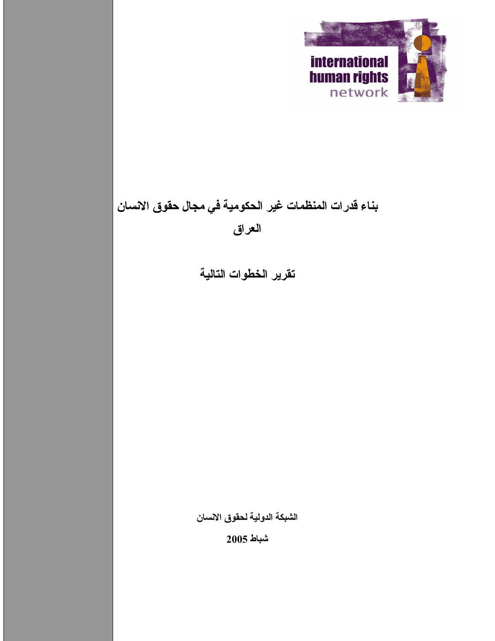

# بناء قدرات المنظمات غير الحكومية في مجال حقوق الانسان العراق

تقرير الخطوات التالية

الشبكة الدولية لحقوق الانسان

 $2005$  شباط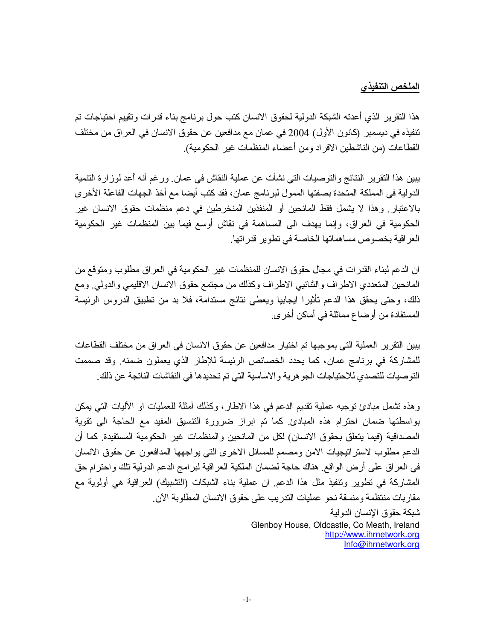#### الملخص التنفيذ*ي*

هذا التقرير الذي أعدته الشبكة الدولية لحقوق الانسان كتب حول برنامج بناء قدرات وتقييم احتياجات تم نتفيذه في ديسمبر (كانون الأول) 2004 في عمان مع مدافعين عن حقوق الانسان في العراق من مختلف القطاعات (من الناشطين الافر اد ومن أعضاء المنظمات غير الحكومية).

يبين هذا التقرير النتائج والتوصيات التي نشأت عن عملية النقاش في عمان. ورغم أنه أعد لوز ارة التنمية الدولية في المملكة المتحدة بصفتها الممول لبرنامج عمان، فقد كتب أيضا مع أخذ الجهات الفاعلة الأخرى بالاعتبار ٍ وهذا لا يشمل فقط المانحين أو المنفذين المنخرطين في دعم منظمات حقوق الانسان غير الحكومية في العراق، وإنما يهدف الى المساهمة في نقاش أوسع فيما بين المنظمات غير الحكومية العر اقية بخصوص مساهماتها الخاصنة في نطوير ٍ قدر اتها ِ

ان الدعم لبناء القدرات في مجال حقوق الانسان للمنظمات غير الحكومية في العراق مطلوب ومتوقع من المانحين المتعددي الاطراف والثنائيي الاطراف وكذلك من مجتمع حقوق الانسان الاقليمي والدولمي. ومع ذلك، وحتى يحقق هذا الدعم تأثيرًا ايجابيا ويعطى نتائج مستدامة، فلا بد من تطبيق الدروس الرئيسة المستفادة من أوضاع مماثلة في أماكن أخرى.

يبين النقرير العملية التي بموجبها تم اختيار مدافعين عن حقوق الانسان في العراق من مختلف القطاعات للمشاركة في برنامج عمان، كما يحدد الخصائص الرئيسة للإطار الذي يعملون ضمنه وقد صممت النوصيات للتصدي للاحتياجات الجو هرية والاساسية التي تم تحديدها في النقاشات الناتجة عن ذلك ِ

وهذه نتشمل مبادئ نوجيه عملية نقديم الدعم في هذا الاطار ، وكذلك أمثلة للعمليات او الأليات التي يمكن بواسطتها ضمان احترام هذه المبادئ كما تم ابراز ضرورة التتسبق المفيد مع الحاجة الى تقوية المصداقية (فيما يتعلق بحقوق الانسان) لكل من المانحين والمنظمات غير الحكومية المستفيدة. كما أن الدعم مطلوب لاستراتيجيات الامن ومصمم للمسائل الاخرى التي بواجهها المدافعون عن حقوق الانسان في العراق على أرض الواقع هناك حاجة لضمان الملكية العراقية لبر امج الدعم الدولية تلك واحترام حق المشاركة في تطوير وتنفيذ مثل هذا الدعم. ان عملية بناء الشبكات (التشبيك) العراقية هي أولوية مع مقاربات منتظمة ومنسقة نحو عمليات الندريب على حقوق الانسان المطلوبة الأن شبكة حقوق الإنسان الدولية

Glenboy House, Oldcastle, Co Meath, Ireland http://www.ihrnetwork.org Info@ihrnetwork.org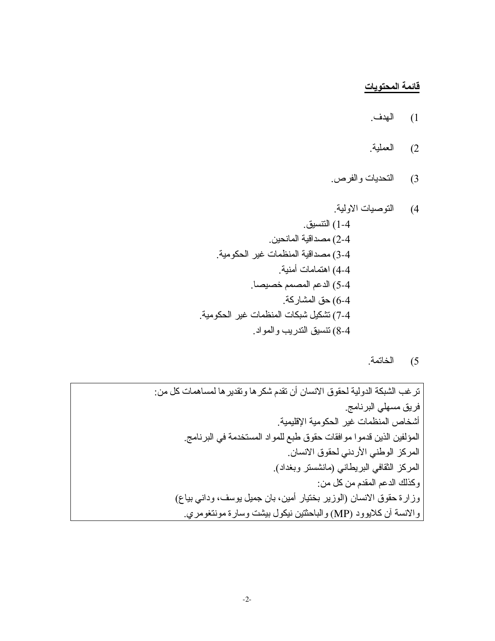# <u>قائمة المحتويات</u>

- 1) الهدف.
- 2) العملية.
- 3) التحديات والفرص.

5) الخاتمة.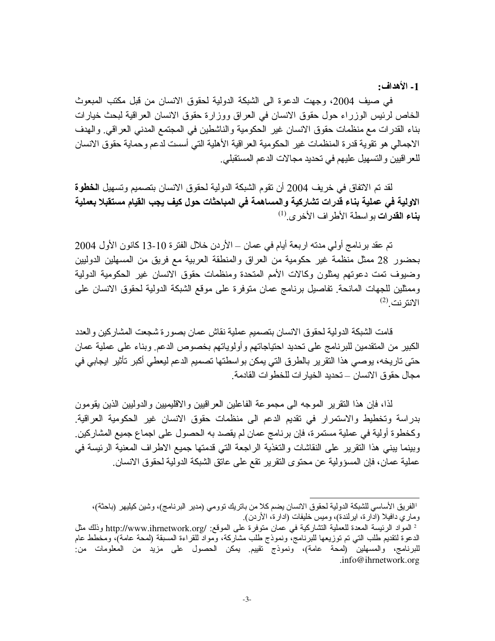1- الأهداف:

في صيف 2004، وجهت الدعوة الى الشبكة الدولية لحقوق الانسان من قبل مكتب المبعوث الخاص لرئيس الوزراء حول حقوق الانسان في العراق ووزارة حقوق الانسان العراقية لبحث خيارات بناء القدرات مع منظمات حقوق الانسان غير الحكومية والناشطين في المجتمع المدني العراقي. والهدف الاجمالي هو نقوية قدر ة المنظمات غير الحكومية العر اقية الأهلية التي أسست لدعم وحماية حقوق الانسان للعر اقيين والتسهيل عليهم في تحديد مجالات الدعم المستقبلي.

لقد تم الاتفاق في خريف 2004 أن تقوم الشبكة الدولية لحقوق الانسان بتصميم وتسهيل ا**لخطوة** الاولية في عملية بناء قدرات تشاركية والمساهمة في المباحثات حول كيف يجب القيام مستقبلا بعملية بِناع القدرات بو اسطة الأطر اف الأخر ي.<sup>(1)</sup>

تم عقد برنامج أولى مدته اربعة أيام في عمان ــ الأردن خلال الفترة 10-13 كانون الأول 2004 بحضور 28 ممثل منظمة غير حكومية من العراق والمنطقة العربية مع فريق من المسهلين الدوليين وضبوف تمت دعوتهم بمثلون وكالات الأمم المتحدة ومنظمات حقوق الانسان غير الحكومية الدولية وممثلين للجهات المانحة تفاصيل برنامج عمان متوفرة على موقع الشبكة الدولية لحقوق الانسان على  $^{(2)}$  الانتر نت

قامت الشبكة الدولية لحقوق الانسان بتصميم عملية نقاش عمان بصورة شجعت المشاركين والعدد الكبير من المتقدمين للبرنامج على تحديد احتياجاتهم وأولوياتهم بخصوص الدعم وبناء على عملية عمان حتى تاريخه، يوصبي هذا النقر ير بالطر ق التي يمكن بو اسطتها تصميم الدعم ليعطي أكبر تأثير ايجابي في مجال حقو ق الانسان — تحديد الخيار ات للخطو ات القادمة ِ

لذا، فإن هذا النقرير الموجه الى مجموعة الفاعلين العراقيين والاقليميين والدوليين الذين يقومون بدر اسة وتخطيط والاستمرار في تقديم الدعم الى منظمات حقوق الانسان غير الحكومية العراقية. وكخطوة أولية في عملية مستمرة، فإن برنامج عمان لم يقصد به الحصول على اجماع جميع المشاركين. وبينما يبني هذا النقرير على النقاشات والنغذية الراجعة التي قدمتها جميع الاطراف المعنية الرئيسة في عملية عمان، فإن المسؤولية عن محتوى النقرير نقع على عاتق الشبكة الدولية لحقوق الانسان

الفريق الأساسي للشبكة الدولية لحقوق الانسان يضم كلا من باتريك توومي (مدير البرنامج)، وشين كيليهر (باحثة)، وماري دافيلا (ادارة، ايرلندة)، وميس خليفات (ادارة، الأردن).

<sup>ُ</sup> المواد الرئيسة المعدة للعملية التشاركية في عمان متوفرة على الموقع: /http://www.ihrnetwork.org وذلك مثل الدعوة لنقديم طلب التي تم توزيعها للبرنامج، ونموذج طلب مشاركة، ومواد للقراءة المسبقة (لمحة عامة)، ومخطط عام للبرنامج، والمسهلين (لمحة عامة)، ونموذج نقييم يمكن الحصول على مزيد من المعلومات من .info@ihrnetwork.org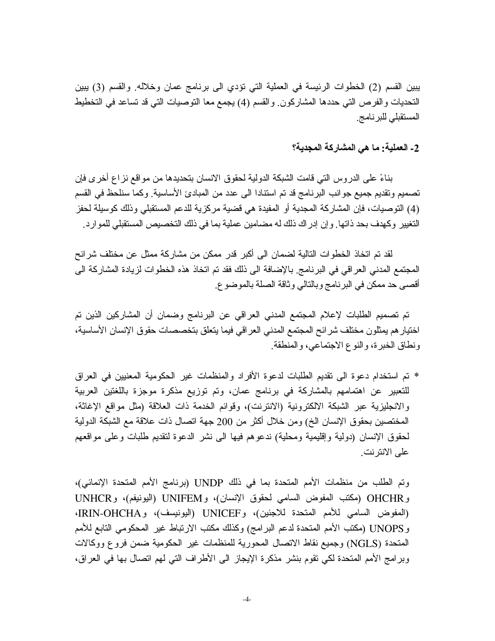يبين القسم (2) الخطوات الرئيسة في العملية التي نؤدي الى برنامج عمان وخلاله. والقسم (3) يبين النحديات والفرص التي حددها المشاركون والقسم (4) يجمع معا التوصيات التي قد تساعد في التخطيط المستقبلي للبرنامج

# 2- العملية: ما هي المشاركة المجدية؟

بناءً على الدروس التي قامت الشبكة الدولية لحقوق الانسان بتحديدها من مواقع نز اع أخرى فإن تصميم ونقديم جميع جوانب البرنامج قد تم استنادا الى عدد من المبادئ الأساسية. وكما سنلحظ في القسم (4) التوصيات، فإن المشاركة المجدية أو المفيدة هي قضية مركزية للدعم المستقبلي وذلك كوسيلة لحفز التغيير وكهدف بحد ذاتها. و إن إدر اك ذلك له مضـامين عملية بمـا في ذلك التخصـيص المستقبلي للمو ار د.

لقد تم اتخاذ الخطوات التالية لضمان الى أكبر قدر ممكن من مشاركة ممثل عن مختلف شرائح المجتمع المدني العراقي في البرنامج بالإضافة الى ذلك فقد تم اتخاذ هذه الخطوات لزيادة المشاركة الى أقصبي حد ممكن في البرنامج وبالتالي وثاقة الصلة بالموضوع.

تم تصميم الطلبات لإعلام المجتمع المدنى العراقي عن البرنامج وضمان أن المشاركين الذين تم اختيار هم يمثلون مختلف شر ائح المجتمع المدنى العراقي فيما يتعلق بتخصصات حقوق الإنسان الأساسية، ونطاق الخبرة، والنوع الاجتماعي، والمنطقة.

\* تم استخدام دعوة الى تقديم الطلبات لدعوة الأفراد والمنظمات غير الحكومية المعنيين في العراق للتعبير عن اهتمامهم بالمشاركة في برنامج عمان، وتم توزيع مذكرة موجزة باللغتين العربية والانجليزية عبر الشبكة الالكترونية (الانترنت)، وقوائم الخدمة ذات العلاقة (مثل مواقع الإغاثة، المختصين بحقوق الإنسان الخ) ومن خلال أكثر من 200 جهة اتصال ذات علاقة مع الشبكة الدولية لحقوق الإنسان (دولية وإقليمية ومحلية) ندعوهم فيها الى نشر الدعوة لتقديم طلبات وعلى مواقعهم على الانتر نت ِ

وتم الطلب من منظمات الأمم المتحدة بما في ذلك UNDP (برنامج الأمم المتحدة الإنمائي)، و OHCHR (مكتب المفوض السامي لحقوق الإنسان)، وUNIFEM (اليونيفع)، وUNHCR (المفوض السامي للأمم المتحدة للاجئين)، وUNICEF (اليونيسف)، وIRIN-OHCHA، و UNOPS (مكتب الأمم المتحدة لدعم البر امج) وكذلك مكتب الارتباط غير المحكومي التابع للأمم المتحدة (NGLS) وجميع نقاط الاتصال المحورية للمنظمات غير الحكومية ضمن فروع ووكالات وبرامج الأمم المتحدة لكي تقوم بنشر مذكرة الإيجاز الى الأطراف التي لهم اتصال بها في العراق،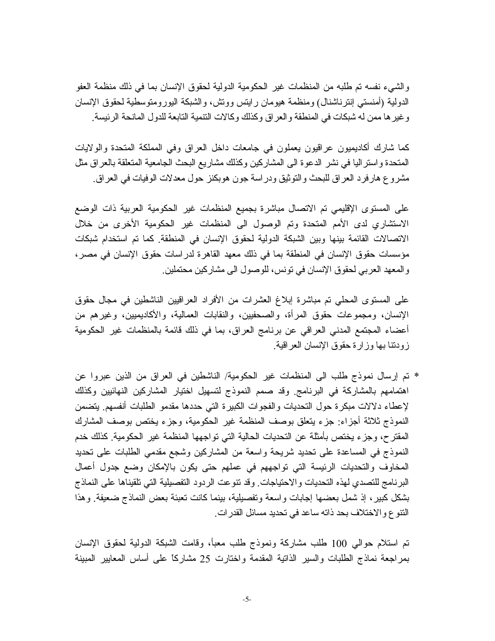والشيء نفسه تم طلبه من المنظمات غير الحكومية الدولية لحقوق الإنسان بما في ذلك منظمة العفو الدولية (أمنستـي إنترنـاشنال) ومنظمة هيومان رايتس ووتش، والشبكة اليورومنوسطية لحقوق الإنسان و غير ها ممن له شبكات في المنطقة والعراق وكذلك وكالات النتمية التابعة للدول المانحة الرئيسة.

كما شارك أكاديميون عراقيون يعملون في جامعات داخل العراق وفي المملكة المتحدة والولايات المتحدة واستر اليا في نشر الدعوة الى المشاركين وكذلك مشاريع البحث الجامعية المتعلقة بالعراق مثل مشروع هارفرد العراق للبحث والتوثيق ودراسة جون هوبكنز حول معدلات الوفيات في العراق.

على المستوى الإقليمي تم الاتصال مباشرة بجميع المنظمات غير الحكومية العربية ذات الوضع الاستشاري لدى الأمم المتحدة وتم الوصول الى المنظمات غير الحكومية الأخرى من خلال الاتصالات القائمة بينها وبين الشبكة الدولية لحقوق الإنسان في المنطقة. كما تم استخدام شبكات مؤسسات حقوق الإنسان في المنطقة بما في ذلك معهد القاهر ة لدر اسات حقوق الإنسان في مصر ، والمعهد العربي لحقوق الإنسان في نونس، للوصول الى مشاركين محتملين ِ

على المستوى المحلي تم مباشرة إبلاغ العشرات من الأفراد العراقيين الناشطين في مجال حقوق الإنسان، ومجموعات حقوق المرأة، والصحفيين، والنقابات العمالية، والأكاديميين، وغيرهم من أعضاء المجتمع المدنى العراقي عن برنامج العراق، بما في ذلك قائمة بالمنظمات غير الحكومية زودننا بها وزارة حقوق الإنسان العراقية

\* تم إرسال نموذج طلب الى المنظمات غير الحكومية/ الناشطين في العراق من الذين عبروا عن اهتمامهم بالمشاركة في البرنامج وقد صمم النموذج لتسهيل اختيار المشاركين النهائيين وكذلك لإعطاء دلالات مبكرة حول التحديات والفجوات الكبيرة التي حددها مقدمو الطلبات أنفسهم يتضمن النموذج ثلاثة أجزاء: جزء يتعلق بوصف المنظمة غير الحكومية، وجزء يختص بوصف المشارك المقتر ح، وجز ء يختص بأمثلة عن التحديات الحالية التي تواجهها المنظمة غير الحكومية. كذلك خدم النموذج في المساعدة على تحديد شريحة واسعة من المشاركين وشجع مقدمي الطلبات على تحديد المخاوف والتحديات الرئيسة التي تواجههم في عملهم حتى يكون بالإمكان وضع جدول أعمال البرنامج للتصدي لهذه التحديات والاحتياجات وقد نتوعت الردود التفصيلية التي تلقيناها على النماذج بشكل كبيرٍ، إذ شمل بعضها إجابات واسعة وتفصيلية، بينما كانت تعبئة بعض النماذج ضعيفة ٍ وهذا النتوع والاختلاف بحد ذاته ساعد في تحديد مسائل القدرات ِ

تم استلام حوالى 100 طلب مشاركة ونموذج طلب معبأ، وقامت الشبكة الدولية لحقوق الإنسان بمراجعة نماذج الطلبات والسير الذاتية المقدمة واختارت 25 مشاركاً على أساس المعابير المبينة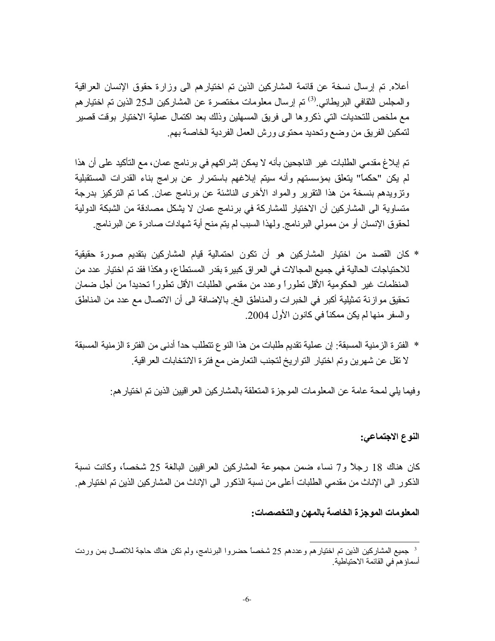أعلاه ِ تم إرسال نسخة عن قائمة المشاركين الذين تم اختيار هم الى وز ار ة حقوق الإنسان العر اقية والمجلس الثقافي البريطاني <sup>(3)</sup> تم إرسال معلومات مختصر ة عن المشاركين الـ25 الذين تم اختيار هم مع ملخص للتحديات التي ذكروها الى فريق المسهلين وذلك بعد اكتمال عملية الاختيار بوقت قصير لتمكين الفريق من وضع وتحديد محتوى ورش العمل الفردية الخاصة بهم

تم إبلاغ مقدمي الطلبات غير الناجحين بأنه لا يمكن إشر اكهم في بر نامج عمان، مع التأكيد على أن هذا لم يكن "حكماً" يتعلَّق بمؤسستهم وأنه سيتم إبلاغهم باستمرار عن برامج بناء القدرات المستقبلية وتزويدهم بنسخة من هذا النقرير والمواد الأخرى الناشئة عن برنامج عمان كما تم التركيز بدرجة متساوية الى المشاركين أن الاختيار للمشاركة في برنامج عمان لا يشكل مصادقة من الشبكة الدولية لحقوق الإنسان أو من ممولى البرنامج ولهذا السبب لم يتم منح أية شهادات صادر ة عن البرنامج

- \* كان القصد من اختيار المشاركين هو أن تكون احتمالية قيام المشاركين بتقديم صورة حقيقية للاحتياجات الحالية في جميع المجالات في العر اق كبير ة بقدر المستطاع، و هكذا فقد تم اختيار عدد من المنظمات غير الحكومية الأقل نطوراً وعدد من مقدمي الطلبات الأقل نطوراً تحديداً من أجل ضمان تحقيق موازنة تمثيلية أكبر في الخبرات والمناطق الخ بالإضافة الى أن الاتصال مع عدد من المناطق و السفر منها لم يكن ممكناً في كانون الأول 2004.
- \* الفتر ة الزمنية المسبقة: إن عملية تقديم طلبات من هذا النو ع تتطلب حداً أدنى من الفتر ة الزمنية المسبقة لا نقل عن شهرين وتم اختيار النواريخ لتجنب النعارض مع فترة الانتخابات العراقية.

وفيما يلي لمحة عامة عن المعلومات الموجزة المنعلقة بالمشاركين العر اقيين الذين تم اختيار هم:

#### النوع الاجتماعي:

كان هناك 18 رجلاً و7 نساء ضمن مجموعة المشاركين العراقيين البالغة 25 شخصاً، وكانت نسبة الذكور الى الإناث من مقدمي الطلبات أعلى من نسبة الذكور الى الإناث من المشار كين الذين تم اختيار هم.

#### المعلومات الموجزة الخاصة بالمهن والتخصصات:

<sup>&</sup>lt;sup>3</sup> جميع المشاركين الذين تم اختيار هم وعددهم 25 شخصاً حضروا البرنامج، ولم تكن هناك حاجة للاتصال بمن ورىت أسماؤ هم في القائمة الاحتياطية ِ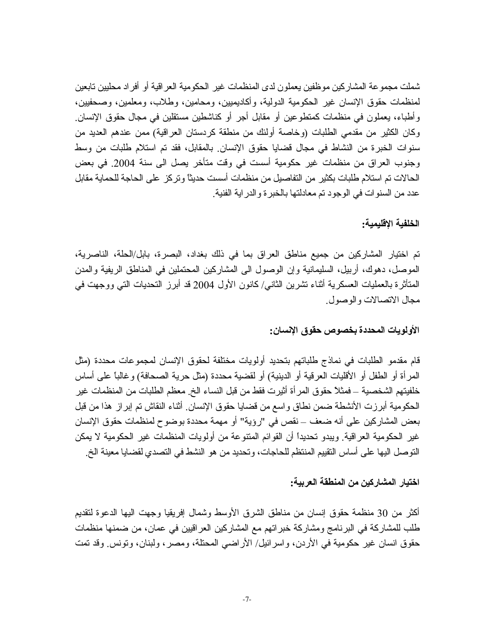شملت مجموعة المشاركين موظفين يعملون لدى المنظمات غير الحكومية العراقية أو أفراد محليين تابعين لمنظمات حقوق الإنسان غير الحكومية الدولية، وأكاديميين، ومحامين، وطلاب، ومعلمين، وصحفيين، وأطباء، بعملون في منظمات كمنطوعين أو مقابل أجر أو كناشطين مستقلين في مجال حقوق الإنسان. وكان الكثير من مقدمي الطلبات (وخاصة أولئك من منطقة كردستان العراقية) ممن عندهم العديد من سنوات الخبرة من النشاط في مجال قضايا حقوق الإنسان بالمقابل، فقد تم استلام طلبات من وسط وجنوب العراق من منظمات غير حكومية أسست في وقت متأخر يصل الى سنة 2004. في بعض الحالات تم استلام طلبات بكثير من التفاصيل من منظمات أسست حديثاً وتركز على الحاجة للحماية مقابل عدد من السنو ات في الوجود تم معادلتها بالخبر ة والدر اية الفنية ِ

#### الخلفية الاقليمية:

تم اختيار المشاركين من جميع مناطق العراق بما في ذلك بغداد، البصرة، بابل/الحلة، الناصرية، الموصل، دهوك، أربيل، السليمانية وإن الوصول الى المشاركين المحتملين في المناطق الريفية والمدن المتأثَّرة بالعمليات العسكرية أثناء نشرين الثانـي/ كانون الأول 2004 قد أبرز النحديات التـي ووجهت فـي مجال الاتصالات والوصول

#### الأولويات المحددة بخصوص حقوق الإنسان:

قام مقدمو الطلبات في نماذج طلباتهم بتحديد أولويات مختلفة لحقوق الإنسان لمجموعات محددة (مثل المرأة أو الطفل أو الأقليات العرفية أو الدينية) أو لقضية محددة (مثل حرية الصحافة) وغالباً على أساس خلفيتهم الشخصية ــ فمثلاً حقوق المرأة أثيرت فقط من قبل النساء الخ ٍ معظم الطلبات من المنظمات غير الحكومية أبرزت الأنشطة ضمن نطاق واسع من قضبايا حقوق الإنسان ِ أنْناء النقاش تم إبراز هذا من قبل بعض المشاركين على أنه ضعف – نقص في "رؤية" أو مهمة محددة بوضوح لمنظمات حقوق الإنسان غير الحكومية العراقية. ويبدو تحديداً أن القوائم المنتوعة من أولويات المنظمات غير الحكومية لا يمكن النوصل البها على أساس التقييم المنتظم للحاجات، وتحديد من هو النشط في التصدي لقضايا معينة الخ.

#### اختيار المشاركين من المنطقة العربية:

أكثر من 30 منظمة حقوق إنسان من مناطق الشرق الأوسط وشمال إفريقيا وجهت اليها الدعوة لنقديم طلب للمشاركة في البرنامج ومشاركة خبر اتهم مع المشاركين العر اقيين في عمان، من ضمنها منظمات حقوق انسان غير حكومية في الأردن، واسرائيل/ الأراضي المحتلة، ومصر ، ولبنان، وتونس وقد تمت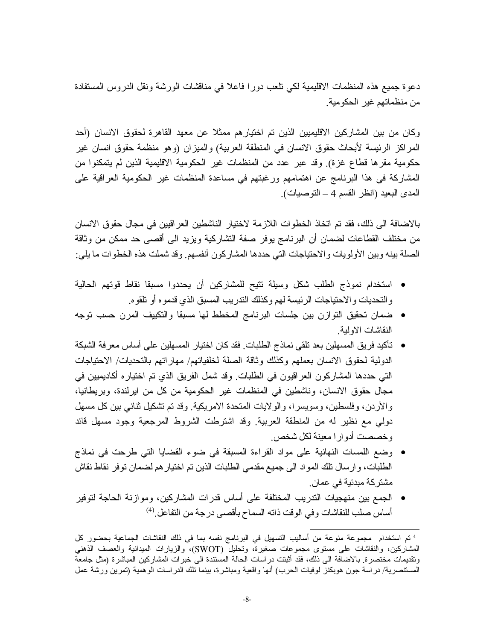دعوة جميع هذه المنظمات الاقليمية لكي تلعب دورًا فاعلاً في مناقشات الورشة ونقل الدروس المستفادة من منظماتهم غير الحكومية.

وكان من بين المشاركين الاقليميين الذين تم اختيار هم ممثلا عن معهد القاهرة لحقوق الانسان (أحد المراكز الرئيسة لأبحاث حقوق الانسان في المنطقة العربية) والميزان (وهو منظمة حقوق انسان غير حكومية مقرها قطاع غزة) وقد عبر عدد من المنظمات غير الحكومية الاقليمية الذين لم يتمكنوا من المشاركة في هذا البرنامج عن اهتمامهم ورغبتهم في مساعدة المنظمات غير الحكومية العراقية على المدى البعيد (انظر القسم 4 – النوصيات).

بالاضافة الى ذلك، فقد تم اتخاذ الخطوات اللازمة لاختيار الناشطين العراقيين في مجال حقوق الانسان من مختلف القطاعات لضمان أن البرنامج يوفر صفة التشاركية ويزيد الى أقصى حد ممكن من وثاقة الصلة بينه وبين الأولويات والاحتياجات التي حددها المشاركون أنفسهم. وقد شملت هذه الخطوات ما يلي:

- استخدام نموذج الطلب شكل وسيلة نتيح للمشاركين أن يحددوا مسبقا نقاط قوتهم الحالية و التحديات و الاحتياجات الرئيسة لهم وكذلك التدريب المسبق الذي قدمو ه أو تلقو ه.
- ضمان تحقيق التوازن بين جلسات البرنامج المخطط لها مسبقا والتكييف المرن حسب توجه النقاشات الاولبة
- تأكيد فريق المسهلين بعد نلقى نماذج الطلبات. فقد كان اختيار المسهلين على أساس معرفة الشبكة الدولية لحقوق الانسان بعملهم وكذلك وثاقة الصلة لخلفياتهم/ مهاراتهم بالتحديات/ الاحتياجات التي حددها المشاركون العراقيون في الطلبات وقد شمل الفريق الذي تم اختياره أكاديميين في مجال حقوق الانسان، وناشطين في المنظمات غير الحكومية من كل من ايرلندة، وبريطانيا، والأردن، وفلسطين، وسويسرا، والولايات المتحدة الامريكية. وقد تم تشكيل ثنائي بين كل مسهل دولي مع نظير له من المنطقة العربية ٍ وقد اشترطت الشروط المرجعية وجود مسهل قائد و خصصت أدوار ا معينة لكل شخص.
- وضع اللمسات النهائية على مواد القراءة المسبقة في ضوء القضايا التي طرحت في نماذج الطلبات، و ارسال نلك المواد الى جميع مقدمي الطلبات الذين تم اختيار هم لضمان توفر نقاط نقاش مشتر كة مبدئية في عمان.
- الجمع بين منهجيات الندريب المختلفة على أساس قدرات المشاركين، وموازنة الحاجة لتوفير أساس صلب للنقاشات وفي الوقت ذاته السماح بأقصى درجة من التفاعل ِ<sup>(4)</sup>

<sup>&</sup>lt;sup>4</sup> نم استخدام مجموعة منوعة من أساليب التسهيل في البرنامج نفسه بما في ذلك النقاشات الجماعية بحضور كل المشاركين، والنقاشات على مستوى مجموعات صغيرة، ونحليل (SWOT)، والزيارات الميدانية والعصف الذهني وتقديمات مختصرة بالاضافة الى ذلك، فقد أثبتت دراسات الحالة المستندة الى خبرات المشاركين المباشرة (مثل جامعة المستنصرية/ در اسة جون هوبكنز لوفيات الحرب) أنها واقعية ومباشرة، بينما تلك الدر اسات الوهمية (تمرين ورشة عمل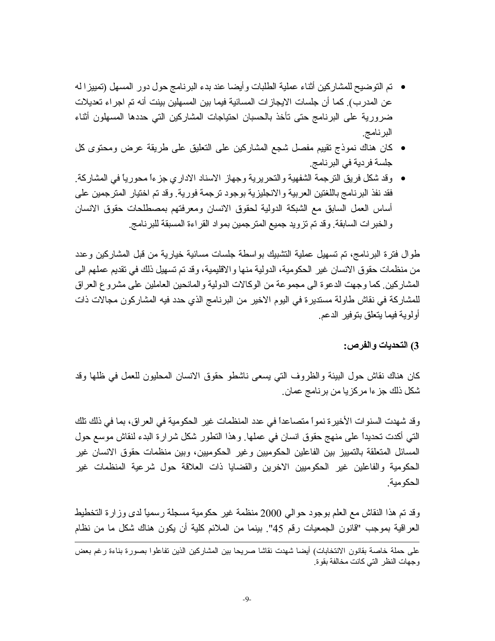- تم التوضيح للمشاركين أثناء عملية الطلبات وأيضا عند بدء البرنامج حول دور المسهل (تمييزا له عن المدرب). كما أن جلسات الايجاز ات المسائية فيما بين المسهلين بينت أنه تم اجر اء تعديلات ضرورية على البرنامج حتى تأخذ بالحسبان احتياجات المشاركين التي حددها المسهلون أثناء البرنامج.
- كان هناك نموذج نقييم مفصل شجع المشاركين على النعليق على طريقة عرض ومحتوى كل جلسة فردية في البرنامج.
- وقد شكل فريق الترجمة الشفهية والتحريرية وجهاز الاسناد الادار ي جز ءاً محورياً في المشاركة. ِ فقد نفذ البرنامج باللغتين العربية والانجليزية بوجود ترجمة فورية. وقد تم اختيار المترجمين على أساس العمل السابق مع الشبكة الدولية لحقوق الانسان ومعرفتهم بمصطلحات حقوق الانسان والخبر ات السابقة وقد تم نزويد جميع المنرجمين بمواد القراءة المسبقة للبرنامج

طوال فترة البرنامج، تم تسهيل عملية التشبيك بواسطة جلسات مسائية خيارية من قبل المشاركين وعدد من منظمات حقوق الانسان غير الحكومية، الدولية منها والاقليمية، وقد تم تسهيل ذلك في تقديم عملهم الي المشاركين كما وجهت الدعوة الى مجموعة من الوكالات الدولية والمانحين العاملين على مشروع العراق للمشاركة في نقاش طاولة مستديرة في اليوم الاخير من البرنامج الذي حدد فيه المشاركون مجالات ذات أولوية فيما يتعلق بتوفير الدعم

#### 3) التحديات والفرص:

كان هناك نقاش حول البيئة والظروف التي يسعى ناشطو حقوق الانسان المحليون للعمل في ظلها وقد شكل ذلك جز ءا مركزيا من برنامج عمان ِ

وقد شهدت السنوات الأخير ة نمواً متصاعداً في عدد المنظمات غير الحكومية في العراق، بما في ذلك تلك التي أكدت تحديداً على منهج حقوق انسان في عملها. وهذا النطور شكل شرارة البدء لنقاش موسع حول المسائل المتعلقة بالتمييز بين الفاعلين الحكوميين وغير الحكوميين، وبين منظمات حقوق الانسان غير الحكومية والفاعلين غير الحكوميين الاخرين والقضايا ذات العلاقة حول شرعية المنظمات غير الحكو مبة

وقد تم هذا النقاش مع العلم بوجود حوالي 2000 منظمة غير حكومية مسجلة رسمياً لدى وزارة التخطيط العراقية بموجب "قانون الجمعيات رقم 45". بينما من الملائم كلية أن يكون هناك شكل ما من نظام

على حملة خاصة بقانون الانتخابات) أيضا شهدت نقاشا صريحا بين المشاركين الذين تفاعلوا بصورة بناءة رغم بعض وجهات النظر التي كانت مخالفة بقوة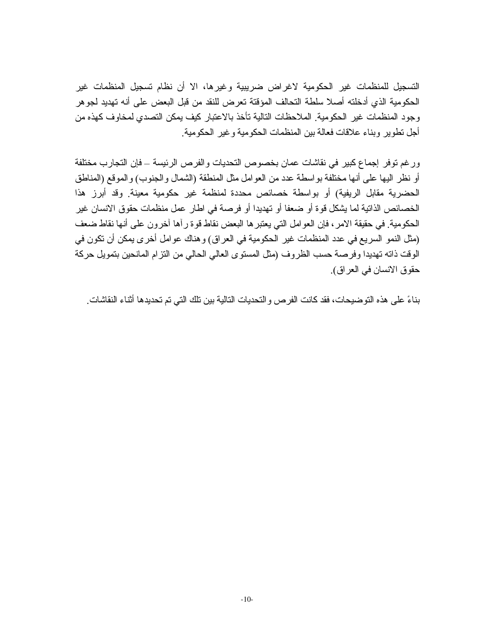التسجيل للمنظمات غير الحكومية لاغراض ضريبية وغيرها، الا أن نظام تسجيل المنظمات غير الحكومية الذي أدخلته أصلا سلطة التحالف المؤقتة تعرض للنقد من قبل البعض على أنه تهديد لجوهر وجود المنظمات غير الحكومية. الملاحظات التالية تأخذ بالاعتبار كيف يمكن التصدي لمخاوف كهذه من أجل تطوير وبناء علاقات فعالة بين المنظمات الحكومية وغير الحكومية.

ور غم توفر إجماع كبير في نقاشات عمان بخصوص التحديات والفرص الرئيسة ــ فإن التجارب مختلفة أو نظر اليها على أنها مختلفة بواسطة عدد من العوامل مثل المنطقة (الشمال والجنوب) والموقع (المناطق الحضرية مقابل الريفية) أو بواسطة خصائص محددة لمنظمة غير حكومية معينة وقد أبرز هذا الخصائص الذاتية لما يشكل قوة أو ضعفا أو تهديدا أو فرصة في اطار عمل منظمات حقوق الانسان غير الحكومية. في حقيقة الامر ، فإن العوامل التي يعتبر ها البعض نقاط قوة ر أها أخرون على أنها نقاط ضعف (مثل النمو السريع في عدد المنظمات غير الحكومية في العراق) وهناك عوامل أخرى يمكن أن تكون في الوقت ذاته تهديدا وفرصة حسب الظروف (مثل المستوى العالى الحالي من النزام المانحين بتمويل حركة حقوق الانسان في العراق).

بناءً على هذه التوضيحات، فقد كانت الفرص والتحديات التالية بين تلك التي تم تحديدها أثناء النقاشات ِ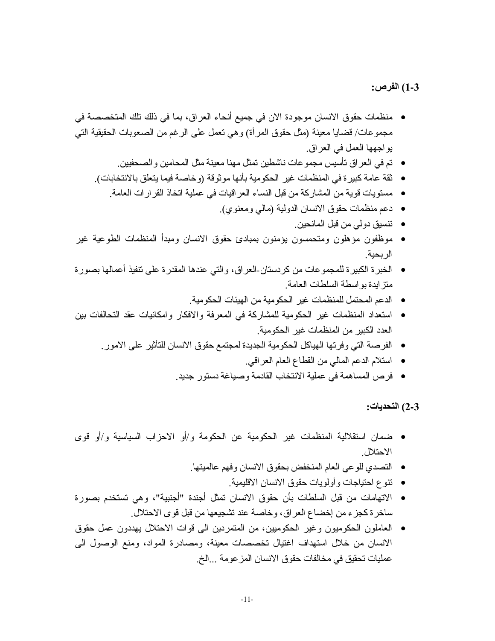#### 1-3) الفرص:

- منظمات حقوق الانسان موجودة الان في جميع أنحاء العراق، بما في ذلك نلك المتخصصة في مجموعات/ قضايا معينة (مثل حقوق المرأة) وهي نعمل على الرغم من الصعوبات الحقيقية التي يواجهها العمل في العراق.
	- نم في العر اق نأسيس مجموعات ناشطين نمثل مهنا معينة مثل المحامين و الصحفيين.
	- ثقة عامة كبير ة في المنظمات غير الحكومية بأنها موثوقة (وخاصة فيما يتعلَّق بالانتخابات).
		- مستويات قوية من المشاركة من قبل النساء العر اقيات في عملية اتخاذ القرار ات العامة.
			- دعم منظمات حقوق الانسان الدولية (مالي ومعنوي).
				- تتسيق دولي من قبل المانحين.
- موظفون مؤهلون ومتحمسون بؤمنون بمبادئ حقوق الانسان ومبدأ المنظمات الطوعية غير الر بحبة
- الخبر ة الكبير ة للمجمو عات من كر دستان-العر اق، و التي عندها المقدر ة على نتفيذ أعمالها بصور ة منز ايدة بو اسطة السلطات العامة
	- الدعم المحتمل للمنظمات غير الحكومية من الهيئات الحكومية.
- استعداد المنظمات غير الحكومية للمشاركة في المعرفة والافكار وامكانيات عقد التحالفات بين العدد الكبير من المنظمات غير الحكومية.
	- الفرصة التي وفرتها الهياكل الحكومية الجديدة لمجتمع حقوق الانسان للتأثير على الامور .
		- استلام الدعم المالي من القطاع العام العراقي.
		- فرص المساهمة في عملية الانتخاب القادمة وصباغة دستور جديد.

2-3) التحديات:

- ضمان استقلالية المنظمات غير الحكومية عن الحكومة و/أو الاحزاب السياسية و/أو قوى الاحتلال
	- التصدي للوعى العام المنخفض بحقوق الانسان وفهم عالميتها.
		- نتوع احتياجات وأولويات حقوق الانسان الاقليمية.
- الاتهامات من قبل السلطات بأن حقوق الانسان تمثّل أجندة "أجنبية"، وهي تستخدم بصورة ساخر ةكجز ء من إخضاع العراق، وخاصة عند تشجيعها من قبل قوى الاحتلال.
- العاملون الحكوميون وغير الحكوميين، من المنمردين الى قوات الاحتلال يهددون عمل حقوق الانسان من خلال استهداف اغتيال تخصصات معينة، ومصادرة المواد، ومنع الوصول البي عمليات تحقيق في مخالفات حقوق الانسان المز عومة ...الخ.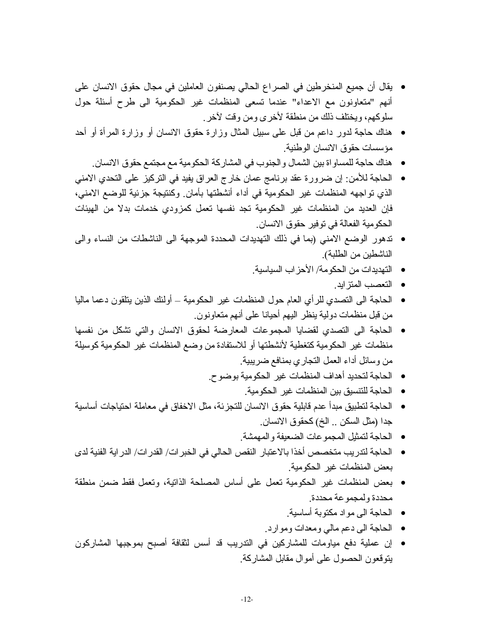- يقال أن جميع المنخرطين في الصراع الحالي يصنفون العاملين في مجال حقوق الانسان على أنهم "متعاونون مع الاعداء" عندما نسعى المنظمات غير الحكومية الى طرح أسئلة حول سلوكهم، ويختلف ذلك من منطقة لأخرى ومن وقت لأخر .
- هناك حاجة لدور داعم من قبل على سبيل المثال وزارة حقوق الانسان أو وزارة المرأة أو أحد مؤسسات حقوق الانسان الوطنية.
	- هناك حاجة للمساو اة بين الشمال و الجنوب في المشاركة الحكومية مع مجتمع حقوق الانسان.
- الحاجة للأمن: إن ضرورة عقد برنامج عمان خارج العراق يفيد في التركيز على التحدي الامنى الذي تواجهه المنظمات غير الحكومية في أداء أنشطتها بأمان وكنتيجة جزئية للوضع الامني، فإن العديد من المنظمات غير الحكومية تجد نفسها تعمل كمزودي خدمات بدلا من الهيئات الحكومية الفعالة في توفير حقوق الانسان
- تدهور الوضع الامني (بما في ذلك التهديدات المحددة الموجهة الى الناشطات من النساء والى الناشطين من الطلبة).
	- النهديدات من الحكومة/ الأحزاب السياسية.
		- التعصب المتزايد.
- الحاجة الى التصدي للر أي العام حول المنظمات غير الحكومية أولئك الذين يتلقون دعما ماليا من قبل منظمات دولية ينظر اليهم أحيانا على أنهم متعاونون ِ
- الحاجة الى النصدي لقضايا المجموعات المعارضة لحقوق الانسان والتي نشكل من نفسها منظمات غير الحكومية كتغطية لأنشطتها أو للاستفادة من وضع المنظمات غير الحكومية كوسيلة من وسائل أداء العمل التجاري بمنافع ضريبية
	- الحاجة لتحديد أهداف المنظمات غير الحكومية بوضوح.
		- الحاجة للتنسيق بين المنظمات غير الحكومية.
- الحاجة لتطبيق مبدأ عدم قابلية حقوق الانسان للتجزئة، مثل الاخفاق في معاملة احتياجات أساسية جدا (مثل السكن .. الخ) كحقوق الانسان.
	- الحاجة لتمثيل المجمو عات الضعيفة و المهمشة.
- الحاجة لندر يب متخصص أخذا بالاعتبار النقص الحالي في الخبر ات/ القدر ات/ الدر اية الفنية لدي بعض المنظمات غير الحكومية.
- بعض المنظمات غير الحكومية تعمل على أساس المصلحة الذاتية، وتعمل فقط ضمن منطقة محددة ولمجموعة محددة
	- الحاجة الى مو اد مكتوبة أساسية.
	- الحاجة الى دعم مالي ومعدات وموارد.
- إن عملية دفع مياومات للمشاركين في التدريب قد أسس لثقافة أصبح بموجبها المشاركون ينوقعون الحصول على أموال مقابل المشاركة.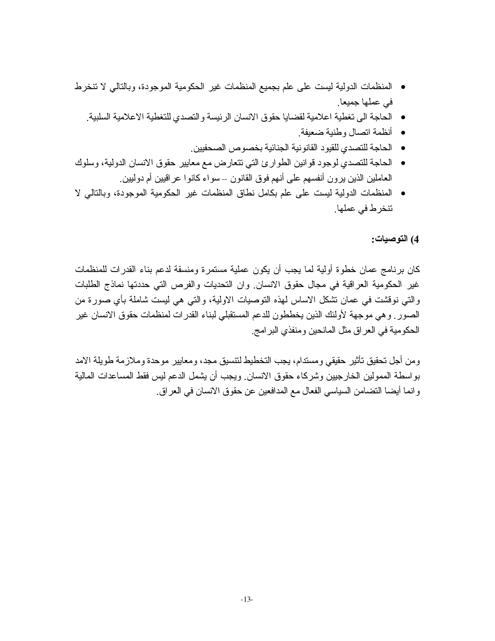- المنظمات الدولية ليست على علم بجميع المنظمات غير الحكومية الموجودة، وبالتالي لا تنخرط في عملها جميعا<sub>.</sub>
	- الحاجة الى تغطية اعلامية لقضايا حقوق الانسان الرئيسة والتصدي للتغطية الاعلامية السلبية.
		- أنظمة اتصال وطنية ضعيفة
		- الحاجة للتصدي للقيود القانونية الجنائية بخصوص الصحفيين.
- الحاجة للتصدي لوجود قوانين الطوارئ التي تتعارض مع معايير حقوق الانسان الدولية، وسلوك العاملين الذين يرون أنفسهم على أنهم فوق القانون –سواء كانوا عراقيين أم دوليين ِ
- المنظمات الدولية ليست على علم بكامل نطاق المنظمات غير الحكومية الموجودة، وبالتالي لا تنخرط في عملها.

# 4) التوصيات:

كان برنامج عمان خطوة أولية لما يجب أن يكون عملية مستمرة ومنسقة لدعم بناء القدرات للمنظمات غير الحكومية العراقية في مجال حقوق الانسان ٍ وان التحديات والفرص التي حددتها نماذج الطلبات والتي نوقشت في عمان تشكل الاساس لهذه النوصيات الاولية، والتي هي ليست شاملة بأي صورة من الصور وهي موجهة لأولئك الذين يخططون للدعم المستقبلي لبناء القدرات لمنظمات حقوق الانسان غير الحكومية في العراق مثل المانحين ومنفذي البر امج

ومن أجل تحقيق تأثير حقيقي ومستدام، يجب التخطيط لتتسيق مجد، ومعايير موحدة وملازمة طويلة الامد بواسطة الممولين الخارجيين وشركاء حقوق الانسان ويجب أن يشمل الدعم ليس فقط المساعدات المالية وانما أيضا النضامن السياسي الفعال مع المدافعين عن حقوق الانسان في العراق.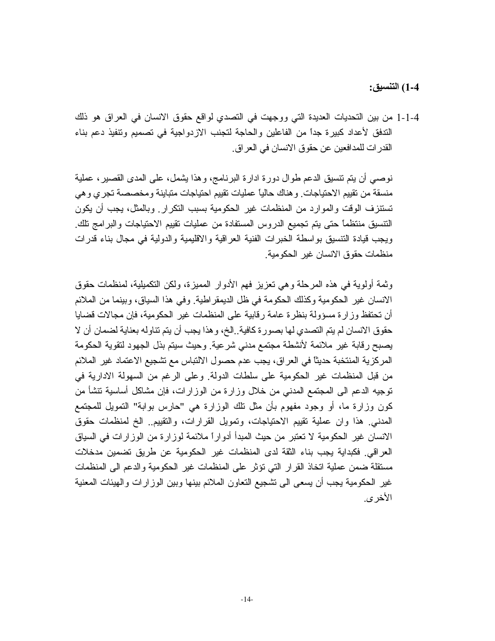# 1-4) التنسيق:

1-1-4 من بين التحديات العديدة التي ووجهت في التصدي لواقع حقوق الانسان في العراق هو ذلك الندفق لأعداد كبيرة جداً من الفاعلين والحاجة لتجنب الازدواجية في تصميم وتتفيذ دعم بناء القدر ات للمدافعين عن حقوق الانسان في العر اق ِ

نوصبي أن يتم تتسبق الدعم طوال دورة ادارة البرنامج، وهذا يشمل، على المدى القصير ، عملية منسقة من نقييم الاحتياجات. وهناك حالياً عمليات نقييم احتياجات متباينة ومخصصة تجرى وهي تستنزف الوقت والموارد من المنظمات غير الحكومية بسبب التكرار وبالمثل، يجب أن يكون النتسيق منتظماً حتى يتم تجميع الدروس المستفادة من عمليات تقييم الاحتياجات والبر امج تلك ويجب قيادة التتسبق بواسطة الخبرات الفنية العراقية والاقليمية والدولية في مجال بناء قدرات منظمات حقوق الانسان غبر الحكومبة

وثمة أولوية في هذه المرحلة وهي تعزيز فهم الأدوار المميزة، ولكن التكميلية، لمنظمات حقوق الانسان غير الحكومية وكذلك الحكومة في ظل الديمقر اطية. وفي هذا السياق، وبينما من الملائم أن تحتفظ وزارة مسؤولة بنظرة عامة رقابية على المنظمات غير الحكومية، فإن مجالات قضايا حقوق الانسان لم يتم التصدي لها بصورة كافية ِ الخ، و هذا يجب أن يتم تناوله بعناية لضمان أن لا يصبح رقابة غير ملائمة لأنشطة مجتمع مدنى شرعية وحيث سيتم بذل الجهود لتقوية الحكومة المركزية المنتخبة حديثًا في العراق، يجب عدم حصول الالتباس مع تشجيع الاعتماد غير الملائم من قبل المنظمات غير الحكومية على سلطات الدولة. وعلى الرغم من السهولة الادارية في نوجيه الدعم الى المجتمع المدنى من خلال وزارة من الوزارات، فإن مشاكل أساسية تتشأ من كون وزارة ما، أو وجود مفهوم بأن مثل نلك الوزارة هي "حارس بوابة" التمويل للمجتمع المدنبي هذا وإن عملية تقييم الاحتياجات، وتمويل القرارات، والتقييم الخ لمنظمات حقوق الانسان غير الحكومية لا تعتبر من حيث المبدأ أدواراً ملائمة لوزارة من الوزارات في السياق العراقي. فكبداية يجب بناء الثقة لدى المنظمات غير الحكومية عن طريق تضمين مدخلات مستقلة ضمن عملية اتخاذ القرار التي تؤثر على المنظمات غير الحكومية والدعم الى المنظمات غير الحكومية يجب أن يسعى الى نشجيع النعاون الملائم بينها وبين الوزارات والهيئات المعنية الأخر ي.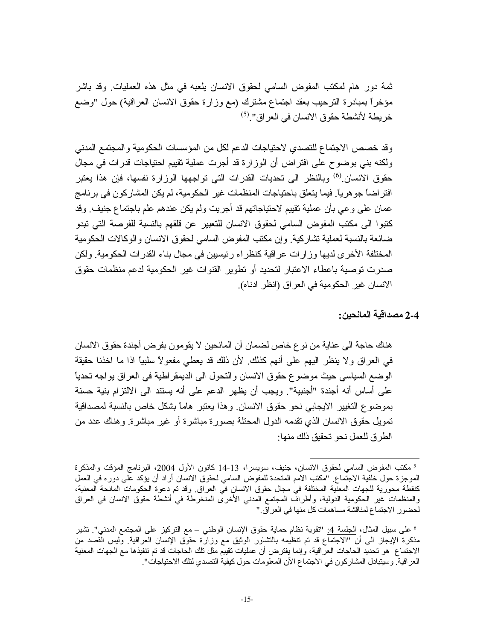ثمة دور هام لمكتب المفوض السامي لحقوق الانسان بلعبه في مثل هذه العمليات وقد باشر مؤخراً بمبادرة الترحيب بعقد اجتماع مشترك (مع وزارة حقوق الانسان العراقية) حول "وضع خريطة لأنشطة حقوق الانسان في العراق".<sup>(5)</sup>

وقد خصص الاجتماع للتصدي لاحتياجات الدعم لكل من المؤسسات الحكومية والمجتمع المدنى ولكنه بني بوضوح على افتراض أن الوزارة قد أجرت عملية تقييم احتياجات قدرات في مجال حقوق الانسان <sup>(6)</sup> وبالنظر الى تحديات القدرات التي تواجهها الوزارة نفسها، فإن هذا يعتبر افتر اضاً جو هرياً. فيما يتعلَّق باحتياجات المنظمات غير الحكومية، لم يكن المشاركون في برنامج عمان على وعي بأن عملية تقييم لاحتياجاتهم قد أجريت ولم يكن عندهم علم باجتماع جنيف وقد كنبو ا الى مكتب المفوض السامي لحقوق الانسان للتعبير عن قلقهم بالنسبة للفرصية التي تبدو ضائعة بالنسبة لعملية نشاركية وإن مكتب المفوض السامى لحقوق الانسان والوكالات الحكومية المختلفة الأخر ي لديها و زار ات عر اقية كنظر اء رئيسيين في مجال بناء القدر ات الحكومية. ولكن صدرت توصية باعطاء الاعتبار لتحديد أو تطوير القنوات غير الحكومية لدعم منظمات حقوق الانسان غير الحكومية في العراق (انظر ادناه).

2-4 مصداقية المانحين:

هناك حاجة الى عناية من نو ع خاص لضمان أن المانحين لا يقومون بفر ض أجندة حقوق الانسان في العراق ولا ينظر اليهم على أنهم كذلك. لأن ذلك قد يعطي مفعولاً سلبياً اذا ما اخذنا حقيقة الوضع السياسي حيث موضوع حقوق الانسان والنحول الى الديمقر اطية في العراق بواجه تحدياً على أساس أنه أجندة "أجنبية". ويجب أن يظهر الدعم على أنه يستند الى الالتزام بنية حسنة بموضوع التغيير الايجابي نحو حقوق الانسان وهذا يعتبر هاماً بشكل خاص بالنسبة لمصداقية تمويل حقوق الانسان الذي تقدمه الدول المحتلة بصورة مباشرة أو غير مباشرة وهناك عدد من الطر ق للعمل نحو تحقيق ذلك منها:

<sup>&</sup>lt;sup>5</sup> مكتب المفوض السامى لحقوق الانسان، جنيف، سويسرا، 13-14 كانون الأول 2004، البرنامج المؤقت والمذكرة الموجزة حول خلفية الاجتَماع. "مكتب الامم المتحدة للمفوض السامي لحقوق الانسان أراد أن يؤكد على دوره في العمل كنقطة محورية للجهات المعنية المختلفة في مجال حقوق الانسان في العراق وقد تم دعوة الحكومات المانحة المعنية، والمنظمات غير الحكومية الدولية، وأطرافٌ المجتمع المدني الأخرى المنخرطة في أنشطة حقوق الانسان في العراق لحضور الاجتماع لمناقشة مساهمات كل منها في العراق "

<sup>&</sup>lt;sup>6</sup> على سبيل المثال، <u>الجلسة 4:</u> "تقوية نظام حماية حقوق الإنسان الوطنبي – مع التركيز على المجتمع المدني". تشير مذكرة الإيجاز الى أن "الاجتماع قد تم نتظيمه بالتشاور الوثيق مع وزارة حقوق الإنسان العراقية. وليس القصد من الاجتماع هو تحديد الحاجات العراقية، وإنما يفترض أن عمليات تقييم مثل تلك الحاجات قد تم نتفيذها مع الجهات المعنية العر اقية. وسيتبادل المشاركون في الاجتماع الآن المعلومات حول كيفية التصدي لتلك الاحتياجات".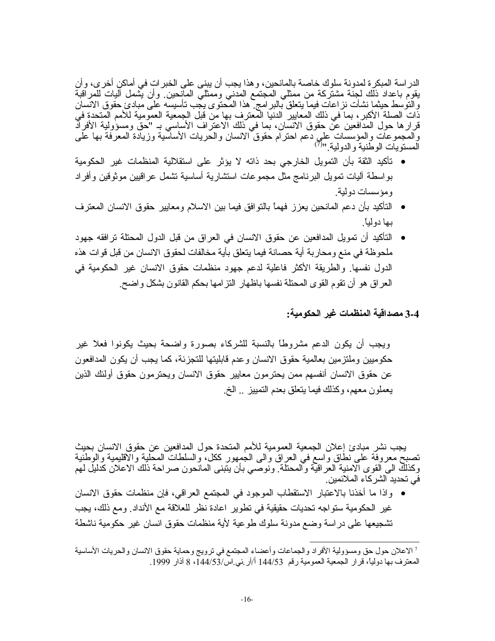الدر اسة المبكر ة لمدونة سلوك خاصة بالمانحين، و هذا يجب أن يبني على الخبر ات في أماكن أخر ي، وأن يقوم باعداد ذلَّك لجنَّة مشتَّركة من ممثلي المَجتمَّع المُدنى وممثليٌّ المأنحين وأن يُشمل آليات للمر أقبة والنَّوسط حيثما نشأت نز اعات فيما يتعلَّق بالبر امج ً هذا المُحتوى يجب تأسيسه على مبادئ حقوق الانسان ذَّات الصلة الأكبر ، بما في ذلك المعايير الدنيًّا المعترف بها مِّن قبل الجمعية العمومية للأمم المَّتحدة فيَّ قرار ها حول المدافعين عن حقوق الانسان، بما في ذلك الاعتراف الأساسي بـ "حق ومسؤولية الأفراد والمحموعات والمؤسسات على دعم احترام حقوق الانسان والحريات الأساسية وزيادة المعرفة بها على<br>المستويات الوطنية والدولية "<sup>(7)</sup>

- تأكيد الثقة بأن التمويل الخارجي بحد ذاته لا يؤثر على استقلالية المنظمات غير الحكومية بواسطة اليات تمويل البرنامج مثل مجموعات استشارية أساسية تشمل عراقبين موثوقين وأفراد ومؤسسات دولية
- التأكيد بأن دعم المانحين يعزز فهمأ بالنوافق فيما بين الاسلام ومعايير حقوق الانسان المعترف بها دولياً.
- التأكيد أن تمويل المدافعين عن حقوق الانسان في العراق من قبل الدول المحتلة ترافقه جهود ملحوظة في منع ومحاربة أية حصانة فيما يتعلق بأية مخالفات لحقوق الانسان من قبل قوات هذه الدول نفسها. والطريقة الأكثر فاعلية لدعم جهود منظمات حقوق الانسان غير الحكومية في العر اق هو أن نقوم القوى المحتلة نفسها باظهار النز امها بحكم القانون بشكل واضح.

3-4 مصداقية المنظمات غير الحكومية:

ويجب أن يكون الدعم مشروطاً بالنسبة للشركاء بصورة واضحة بحيث يكونوا فعلا غير حكوميين وملتزمين بعالمية حقوق الانسان وعدم قابليتها للتجزئة، كما يجب أن يكون المدافعون عن حقوق الانسان أنفسهم ممن يحترمون معابير حقوق الانسان ويحترمون حقوق أولئك الذين يعملون معهم، وكذلك فيما يتعلق بعدم التمييز … الخ

يجب نشر مبادئ إعلان الجمعية العمومية للأمم المتحدة حول المدافعين عن حقوق الانسان بحيث نصبح معروفة على نطاق واسع في العراق والى الجمهور ككل، والسلطات المحلية والاقليمية والوطنية وكذلك الـي القوى الامنية الـعراقيّة والمحتلة ونوصـي بأن يتبنـى المانـحون صـراحة ذلك الاعلان كدليل لـهم في تحديد الشركاء الملائمين ِ

● واذا ما أخذنا بالاعتبار الاستقطاب الموجود في المجتمع العراقي، فإن منظمات حقوق الانسان غير الحكومية ستواجه تحديات حقيقية في تطوير اعادة نظر للعلاقة مع الأنداد. ومع ذلك، يجب تشجيعها على در اسة وضع مدونة سلوك طوعية لأية منظمات حقوق انسان غير حكومية ناشطة

<sup>&</sup>lt;sup>7</sup> الاعلان حول حق ومسؤولية الأفراد والجماعات وأعضاء المجتمع في ترويج وحماية حقوق الانسان والحريات الأساسية المعترف بها دولياً، قرار الجمعية العمومية رقم 144/53 أ/آر في اس/144/53، 8 آذار 1999.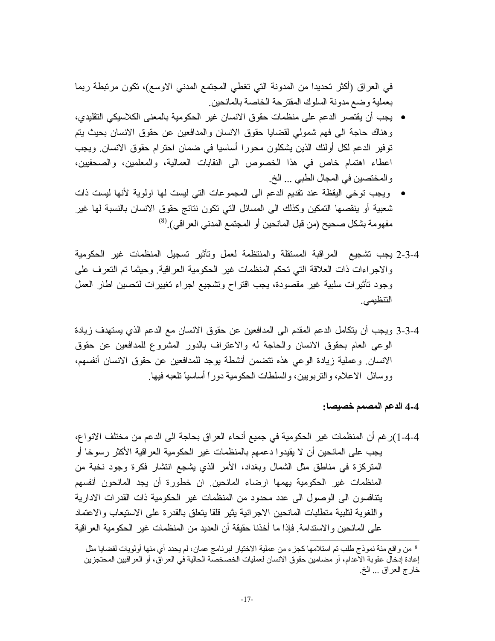في العراق (أكثر تحديدا من المدونة التي تغطي المجتمع المدني الاوسع)، تكون مرتبطة ربما بعملية وضع مدونة السلوك المقترحة الخاصة بالمانحين

- يجب أن يقتصر الدعم على منظمات حقوق الانسان غير الحكومية بالمعنى الكلاسيكي التقليدي، وهناك حاجة الى فهم شمولي لقضايا حقوق الانسان والمدافعين عن حقوق الانسان بحيث يتم توفير الدعم لكل أولئك الذين يشكلون محورا أساسيا في ضمان احترام حقوق الانسان. ويجب اعطاء اهتمام خاص في هذا الخصوص الى النقابات العمالية، والمعلمين، والصحفيين، والمختصين في المجال الطبي ... الخ.
- ويجب توخي اليقظة عند تقديم الدعم الى المجموعات التي ليست لها اولوية لأنها ليست ذات شعبية أو ينقصها التمكين وكذلك الى المسائل التي نكون نتائج حقوق الانسان بالنسبة لها غير مفهومة بشكل صحيح (من قبل المانحين أو المجتمع المدنى العراقي). (8)
- 2-3-4 يجب نشجيع المراقبة المستقلة والمنتظمة لعمل ونأثير تسجيل المنظمات غير الحكومية والاجراءات ذات العلاقة التبي تحكم المنظمات غير الحكومية العراقية وحيثما تم التعرف على وجود نأثيرات سلبية غير مقصودة، يجب اقتراح وتشجيع اجراء تغييرات لتحسين اطار العمل التنظيمي.
- 3-4-3 ويجب أن يتكامل الدعم المقدم الى المدافعين عن حقوق الانسان مع الدعم الذي يستهدف زيادة الوعي العام بحقوق الانسان والحاجة له والاعتراف بالدور المشروع للمدافعين عن حقوق الانسان وعملية زيادة الوعي هذه نتضمن أنشطة يوجد للمدافعين عن حقوق الانسان أنفسهم، ووسائل الاعلام، والنربويين، والسلطات الحكومية دوراً أساسياً نلعبه فيها.

4-4 الدعم المصمم خصيصا:

4-4-1)ر غم أن المنظمات غير الحكومية في جميع أنحاء العراق بحاجة الى الدعم من مختلف الانواع، يجب على المانحين أن لا يقيدوا دعمهم بالمنظمات غير الحكومية العراقية الأكثر رسوخا أو المتركزة في مناطق مثل الشمال وبغداد، الأمر الذي يشجع انتشار فكرة وجود نخبة من المنظمات غير الحكومية يهمها ارضاء المانحين ان خطورة أن يجد المانحون أنفسهم يتنافسون الى الوصول الى عدد محدود من المنظمات غير الحكومية ذات القدرات الادارية واللغوية لنلبية منطلبات المانحين الاجرائية يثير قلقا يتعلق بالقدرة على الاستيعاب والاعتماد على المانحين والاستدامة فإذا ما أخذنا حقيقة أن العديد من المنظمات غير الحكومية العراقية

<sup>&</sup>lt;sup>8</sup> من و اقع مئة نموذج طلب تم استلامها كجز ء من عملية الاختيار لبرنامج عمان، لم يحدد أي منها أولويات لقضايا مثل<br>إعادة إدخال عقوبة الاعدام، أو مضامين حقوق الانسان لعمليات الخصخصة الحالية في العراق، أو العر اقيين المحتجزين خار ج العراق ... الخ.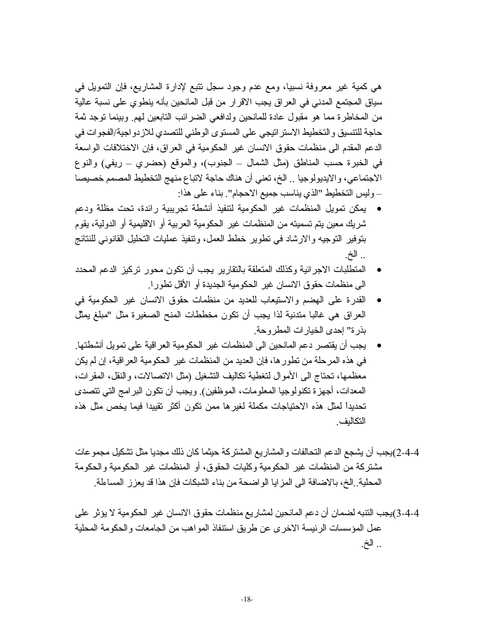هي كمية غير معروفة نسبيا، ومع عدم وجود سجل نتبع لإدارة المشاريع، فإن التمويل في سياق المجتمع المدني في العراق يجب الاقرار من قبل المانحين بأنه ينطوي على نسبة عالية من المخاطرة مما هو مقبول عادة للمانحين ولدافعي الضرائب النابعين لهم وبينما نوجد ثمة حاجة للتتسيق والتخطيط الاستر اتيجي على المستوى الوطني للتصدي للازدو اجية/الفجوات في الدعم المقدم الى منظمات حقوق الانسان غير الحكومية في العراق، فإن الاختلافات الواسعة في الخبرة حسب المناطق (مثل الشمال ــ الجنوب)، والموقع (حضري ــ ريفي) والنوع الاجتماعي، والايديولوجيا .. الخ، تعني أن هناك حاجة لاتباع منهج التخطيط المصمم خصيصا \_وليس التخطيط "الذي يناسب جميع الاحجام". بناء على هذا:

- يمكن تمويل المنظمات غير الحكومية لتتفيذ أنشطة تجريبية رائدة، تحت مظلة ودعم شريك معين يتم تسميته من المنظمات غير الحكومية العربية أو الاقليمية أو الدولية، يقوم بتوفير النوجيه والارشاد في نطوير خطط العمل، ونتفيذ عمليات النحليل القانوني للنتائج .. الخ.
- المتطلبات الاجرائية وكذلك المتعلقة بالتقارير يجب أن تكون محور تركيز الدعم المحدد  $\bullet$ الى منظمات حقوق الانسان غير الحكومية الجديدة أو الأقل تطور ا.
- القدرة على الهضم والاستيعاب للعديد من منظمات حقوق الانسان غير الحكومية في العراق هي غالبا متدنية لذا يجب أن تكون مخططات المنح الصغيرة مثل "مبلغ يمثِّل بذر ة'' إحدى الخيار ات المطر وحة.
- بجب أن يقتصر دعم المانحين الى المنظمات غير الحكومية العراقية على تمويل أنشطتها ِ في هذه المرحلة من تطور ها، فإن العديد من المنظمات غير الحكومية العراقية، إن لم يكن معظمها، تحتاج الى الأموال لتغطية تكاليف التشغيل (مثل الاتصالات، والنقل، المقرات، المعدات، أجهز ة تكنولوجيا المعلومات، الموظفين). ويجب أن تكون البر امج التي تتصدى تحديداً لمثل هذه الاحتياجات مكملة لغير ها ممن تكون أكثر تقييدا فيما يخص مثل هذه التكاليف

4-4-2)يجب أن يشجع الدعم التحالفات و المشار يع المشتر كة حيثما كان ذلك مجديا مثل تشكيل مجمو عات مشتركة من المنظمات غير الحكومية وكليات الحقوق، أو المنظمات غير الحكومية والحكومة المحلية ِ الخ، بالاضافة الى المز ايا الو اضحة من بناء الشبكات فإن هذا قد يعز ز ِ المساءلة ِ

4-4-3)يجب النتبه لضمان أن دعم المانحين لمشاريع منظمات حقوق الانسان غير الحكومية لا يؤثر على عمل المؤسسات الرئيسة الاخرى عن طريق استنفاذ المواهب من الجامعات والحكومة المحلية .. الخ.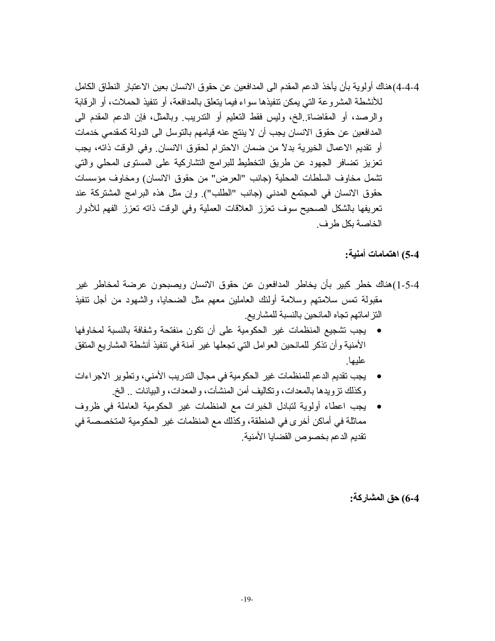4-4-4)هناك أولوية بأن يأخذ الدعم المقدم الىي المدافعين عن حقوق الانسان بعين الاعتبار النطاق الكامل للأنشطة المشر وعة التي يمكن نتفيذها سواء فيما يتعلق بالمدافعة، أو نتفيذ الحملات، أو الرقابة والرصد، أو المقاضاة الخ، وليس فقط التعليم أو الندريب وبالمثل، فإن الدعم المقدم الي المدافعين عن حقوق الانسان يجب أن لا ينتج عنه قيامهم بالنوسل الى الدولة كمقدمي خدمات أو تقديم الاعمال الخيرية بدلاً من ضمان الاحترام لحقوق الانسان ٍ وفي الوقت ذاته، يجب تعزيز نضافر الجهود عن طريق التخطيط للبرامج التشاركية على المستوى المحلي والتي تشمل مخاوف السلطات المحلية (جانب "العرض" من حقوق الانسان) ومخاوف مؤسسات حقوق الانسان في المجتمع المدنى (جانب "الطلب"). وإن مثل هذه البرامج المشتركة عند تعريفها بالشكل الصحيح سوف تعزز العلاقات العملية وفي الوقت ذاته تعزز الفهم للأدوار الخاصة بكل طرف

5-4) اهتمامات أمنية:

- 4-5-1)هناك خطر كبير بأن يخاطر المدافعون عن حقوق الانسان ويصبحون عرضة لمخاطر غير مقبولة نمس سلامتهم وسلامة أولئك العاملين معهم مثل الضحايا، والشهود من أجل نتفيذ النز اماتهم تجاه المانحين بالنسبة للمشاريع
- يجب نشجيع المنظمات غير الحكومية على أن نكون منفتحة وشفافة بالنسبة لمخاوفها الأمنية وأن تذكر للمانحين العوامل التي تجعلها غير آمنة في تتفيذ أنشطة المشاريع المتفق عليها
- يجب نقديم الدعم للمنظمات غير الحكومية في مجال الندريب الأمني، وتطوير الاجر اءات وكذلك نزويدها بالمعدات، وتكاليف أمن المنشأت، والمعدات، والبيانات .. الخ.
- يجب اعطاء أولوية لتبادل الخبرات مع المنظمات غير الحكومية العاملة في ظروف مماثلة في أماكن أخرى في المنطقة، وكذلك مع المنظمات غير الحكومية المتخصصة في نقديم الدعم بخصوص القضايا الأمنية

6-4) حق المشاركة: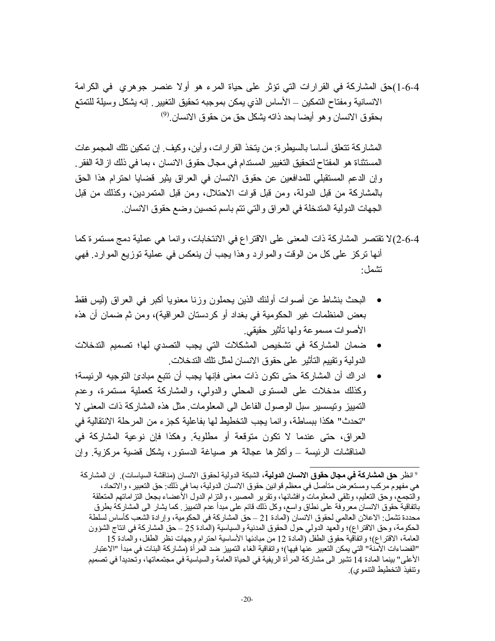4-6-1)حق المشاركة في القرارات التي نؤثر على حياة المرء هو أولا عنصر جوهري في الكرامة الانسانية ومفتاح التمكين ــ الأساس الذي يمكن بموجبه تحقيق التغيير ٍ إنه يشكل وسيلة للتمتع بحقوق الانسان و هو أيضا بحد ذاته يشكل حق من حقوق الانسان .<sup>(9)</sup>

المشاركة تتعلَّق أساسا بالسيطرة: من يتخذ القرارات، وأين، وكيف. إن تمكين تلك المجموعات المستثناة هو المفتاح لتحقيق التغيير المستدام في مجال حقوق الانسان ، بما في ذلك از الـة الفقر . وإن الدعم المستقبلي للمدافعين عن حقوق الانسان في العراق بِثيرٍ قضايا احترام هذا الحق بالمشاركة من قبل الدولة، ومن قبل قوات الاحتلال، ومن قبل المتمردين، وكذلك من قبل الجهات الدولية المتدخلة في العراق والتي نتم باسم تحسين وضع حقوق الانسان.

- 4-6-2)لا تقتصر المشاركة ذات المعنى على الاقتراع في الانتخابات، وانما هي عملية دمج مستمرة كما أنها نركز على كل من الوقت والموارد وهذا يجب أن ينعكس في عملية توزيع الموارد. فهي نشمل:
- البحث بنشاط عن أصوات أولئك الذين يحملون وزنا معنويا أكبر في العراق (ليس فقط بعض المنظمات غير الحكومية في بغداد أو كردستان العراقية)، ومن ثم ضمان أن هذه الأصوات مسموعة ولها تأثير حقيقي.
- ضمان المشاركة في تشخيص المشكلات التي يجب التصدي لها؛ تصميم التدخلات الدو لية و تقييم التأثير على حقو ق الانسان لمثل تلك التدخلات ِ
- ادراك أن المشاركة حتى تكون ذات معنى فإنها يجب أن تتبع مبادئ التوجيه الرئيسة؛ وكذلك مدخلات على المستوى المحلي والدولي، والمشاركة كعملية مستمرة، وعدم النَّمبيز ونيسسير سبل الوصول الفاعل الى المعلومات مثل هذه المشاركة ذات المعنى لا "تحدث" هكذا ببساطة، وإنما يجب التخطيط لها بفاعلية كجزء من المرحلة الانتقالية في العراق، حتى عندما لا نكون منوقعة أو مطلوبة. وهكذا فإن نوعية المشاركة في المناقشات الرئيسة ــ وأكثر ها عجالة هو صياغة الدستور، بشكل قضية مركزية. وإن

<sup>&</sup>lt;sup>9</sup> انظر **حق المشاركة في مجال حقوق الانسان الدولية**، الشبكة الدولية لحقوق الانسان (مناقشة السياسات)<sub>.</sub> ان المشاركة هي مفهوم مركب ومستعرض متأصل في معظم قوانين حقوق الانسان الدولية، بما في ذلك: حق التعبير ، والاتحاد ، والنجمع، وحق النعليم، ونلقى المعلومات وافشائها، ونقرير المصير، والنزام الدول الأعضاء بجعل النز امانهم المنعلقة باتفاقية حقوق الانسان معروفة على نطاق واسع، وكل ذلك قائم على مبدأ عدم التمييز <sub>.</sub> كما يشار الى المشاركة بطرق محددة تشمل الاعلان العالمي لحقوق الانسان (المادة 21 –حق المشاركة في الحكومية، وإرادة الشعب كأساس لسلطة الحكومة، وحق الاقتراع)؛ والعهد الدولي حول الحقوق المدنية والسياسية (المادة 25 – حق المشاركة في انتاج الشؤون العامة، الاقتراع)؛ واتفاقية حقوق الطفل (المادة 12 من مبادئها الأساسية احترام وجهات نظر الطفل، والمادة 15 "الفضاءات الأمنة" التي يمكن التعبير عنها فيها)؛ واتفاقية الغاء التمييز ضد المر أة (مشاركة البنات في مبدأ "الاعتبار الأعلى" بينما المادة 14 تشير الى مشاركة المر أة الريفية في الحياة العامة والسياسية في مجتمعاتها، وتَحديداً في تصميم وتتفيذ التخطيط التتموي).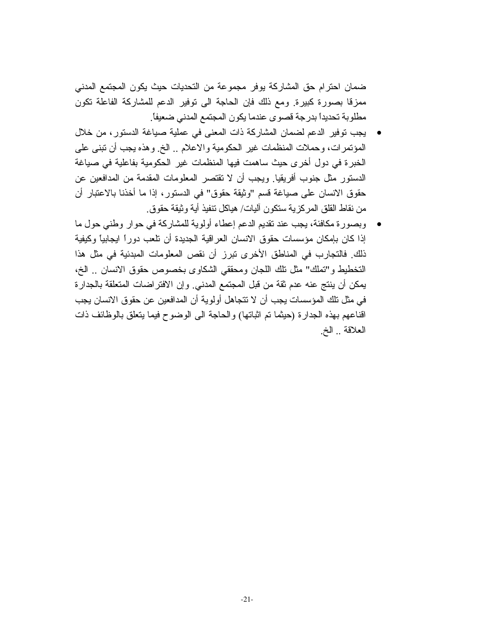ضمان احترام حق المشاركة يوفر مجموعة من التحديات حيث يكون المجتمع المدنى ممزقًا بصورة كبيرة. ومع ذلك فإن الحاجة الى توفير الدعم للمشاركة الفاعلة تكون مطلوبة تحديداً بدرجة قصوى عندما يكون المجتمع المدنى ضعيفاً.

- يجب نوفير الدعم لضمان المشاركة ذات المعنى في عملية صياغة الدستور، من خلال المؤتمرات، وحملات المنظمات غير الحكومية والاعلام .. الخ وهذه يجب أن تبني على الخبرة في دول أخرى حيث ساهمت فيها المنظمات غير الحكومية بفاعلية في صياغة الدستور مثل جنوب أفريقيا. ويجب أن لا تقتصر المعلومات المقدمة من المدافعين عن حقوق الانسان على صياغة قسم "وثيقة حقوق" في الدستور ، إذا ما أخذنا بالاعتبار أن من نقاط القلق المركزية ستكون أليات/ هياكل تنفيذ أية وثيقة حقوق ِ
- وبصورة مكافئة، يجب عند تقديم الدعم إعطاء أولوية للمشاركة في حوار وطني حول ما إذا كان بإمكان مؤسسات حقوق الانسان العراقية الجديدة أن نلعب دوراً ايجابياً وكيفية ذلك. فالتجارب في المناطق الأخرى نبرز أن نقص المعلومات المبدئية في مثل هذا التخطيط و"تملك" مثل نلك اللجان ومحققي الشكاوي بخصوص حقوق الانسان .. الخ، يمكن أن ينتج عنه عدم ثقة من قبل المجتمع المدنى وإن الافتر اضات المتعلقة بالجدارة في مثل تلك المؤسسات يجب أن لا تتجاهل أولوية أن المدافعين عن حقوق الانسان يجب اقناعهم بهذه الجدارة (حيثما تم اثباتها) والحاجة الى الوضوح فيما يتعلق بالوظائف ذات العلاقة .. الخ.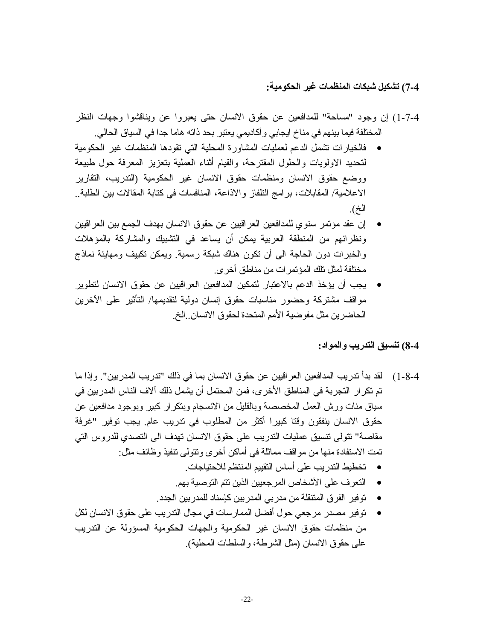# 7-4) تشكيل شبكات المنظمات غير الحكومية:

- 4-7-1) إن وجود "مساحة" للمدافعين عن حقوق الانسان حتى يعبروا عن ويناقشوا وجهات النظر المختلفة فيما بينهم في مناخ ايجابي و أكاديمي يعتبر بحد ذاته هاما جدا في السياق الحالي.
- فالخيارات نشمل الدعم لعمليات المشاورة المحلية التي نقودها المنظمات غير الحكومية لنحديد الاولويات والحلول المقترحة، والقيام أثناء العملية بتعزيز المعرفة حول طبيعة ووضع حقوق الانسان ومنظمات حقوق الانسان غير الحكومية (الندريب، النقارير الاعلامية/ المقابلات، بر امج التلفاز والاذاعة، المنافسات في كتابة المقالات بين الطلبة.. الخ).
- إن عقد مؤتمر سنو ي للمدافعين العر اقيين عن حقوق الانسان بهدف الجمع بين العر اقيين ونظرائهم من المنطقة العربية يمكن أن يساعد في النشبيك والمشاركة بالمؤهلات والخبر ات دون الحاجة الى أن نكون هناك شبكة رسمية. ويمكن نكييف ومهايئة نماذج مختلفة لمثل تلك المؤتمر ات من مناطق أخرى.
- يجب أن يؤخذ الدعم بالاعتبار لتمكين المدافعين العراقيين عن حقوق الانسان لتطوير مواقف مشتركة وحضور مناسبات حقوق إنسان دولية لتقديمها/ التأثير على الأخرين الحاضرين مثل مفوضية الأمم المتحدة لحقوق الانسان ِ الخ

### 8-4) تنسيق التدريب والمواد:

- 4-8-1) لقد بدأ ندريب المدافعين العر اقيين عن حقوق الانسان بما في ذلك "تدريب المدربين". وإذا ما تم تكر ار التجربة في المناطق الأخرى، فمن المحتمل أن يشمل ذلك آلاف الناس المدربين في سياق مئات ورش العمل المخصصة وبالقليل من الانسجام وبنكر ار كبير وبوجود مدافعين عن حقوق الانسان ينفقون وقتا كبيرا أكثر من المطلوب في ندريب عام. يجب توفير "غرفة مقاصة" نتولى نتسيق عمليات التدريب على حقوق الانسان نهدف الى التصدي للدروس التي تمت الاستفادة منها من مواقف مماثلة في أماكن أخر ي وتتولى نتفيذ وظائف مثل:
	- تخطيط التدريب على أساس التقييم المنتظم للاحتياجات.
	- النعر فعلى الأشخاص المرجعيين الذين نتم التوصية بهم.
	- توفير الفرق المتنقلة من مدربي المدربين كإسناد للمدربين الجدد ِ
- توفير مصدر مرجعي حول أفضل الممارسات في مجال الندريب على حقوق الانسان لكل من منظمات حقوق الانسان غير الحكومية والجهات الحكومية المسؤولة عن التدريب على حقوق الانسان (مثل الشرطة، والسلطات المحلية).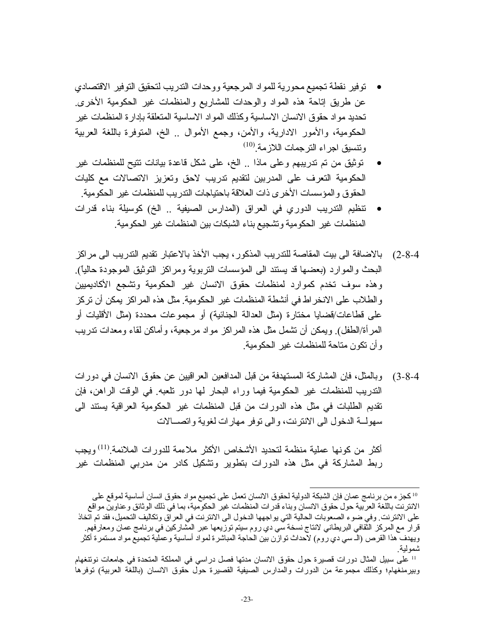- توفير نقطة تجميع محورية للمواد المرجعية ووحدات التدريب لتحقيق التوفير الاقتصادي عن طريق إناحة هذه المواد والوحدات للمشاريع والمنظمات غير الحكومية الأخرى تحديد مواد حقوق الانسان الاساسية وكذلك المواد الاساسية المتعلقة بإدارة المنظمات غير الْحَكُومِية، والأُمُور الادارية، والأمن، وجمع الأُموال .. الخ، الْمَنوفِرة باللُّغة العربية وتتسيق اجر اء التر جمات اللاز مة <sup>(10)</sup>
- توثيق من نم ندريبهم وعلى ماذا ¸ الخ، على شكل فاعدة بيانات نتيح للمنظمات غير الحكومية التعرف على المدربين لتقديم تدريب لاحق وتعزيز الاتصالات مع كليات الحقوق والمؤسسات الأخرى ذات العلاقة باحتياجات الندريب للمنظمات غير الحكومية
- نتظيم الندريب الدوري في العراق (المدارس الصيفية .. الخ) كوسيلة بناء قدرات المنظمات غير الحكومية وتشجيع بناء الشبكات بين المنظمات غير الحكومية
- 2-4-2) بالإضافة الى بيت المقاصة للتدريب المذكور ، يجب الأخذ بالاعتبار تقديم التدريب الى مر اكز الْبِحْثُ والْمُوارِد (بَعْضَهَا قَدْ يَسْتَدْ الَّـي الْمُؤْسَسَاتْ الْتَرْبُويَةْ وَمَرْاكَزْ الْتَوْثيق الموجودة حاليًّا). وهذه سوف تخدم كموارد لمنظمات حقوق الانسان غير الحكومية وتشجع الأكاديميين والطلاب على الانخر اط في أنشطة المنظمات غير الحكومية. مثل هذه المر اكز يمكن أن تركز على قطاعات/قضايا مختارة (مثل العدالة الجنائية) أو مجموعات محددة (مثل الأقليات أو المر أة/الطفل) ويمكن أن نشمل مثل هذه المراكز مواد مرجعية، وأماكن لقاء ومعدات ندريب وأن تكون متاحة للمنظمات غير الحكومية.
- 3-4-3) وبالمثل، فإن المشاركة المستهدفة من قبل المدافعين العراقيين عن حقوق الانسان في دورات الندريب للمنظمات غير الحكومية فيما وراء البحار لمها دور تلعبه في الوقت الراهن، فإن تقديم الطلبات في مثل هذه الدورات من قبل المنظمات غير الحكومية العراقية يستند الى سهولـــة الدخول الـي الانترنت، والـي توفر مهارات لغوية واتصـــالات

أكثر من كونها عملية منظمة لتحديد الأشخاص الأكثر ملاءمة للدور ات الملائمة <sup>(11)</sup> وبجب ربط المشاركة في مثل هذه الدورات بتطوير وتشكيل كادر من مدربي المنظمات غير

<sup>10</sup> كجز ء من برنامج عمان فإن الشبكة الدولية لحقوق الانسان نعمل على تجميع مواد حقوق انسان أساسية لموقع على الانترنت باللغة العربية حول حقوق الانسان وبناء قدرات المنظمات غير الحكومية، بما في ذلك الوثائق وعناوين مواقع على الانترنت وفي ضوء الصعوبات الحالية التي يواجهها الدخول الى الانترنت في العراق وتكاليف التحميل، فقد تم اتخاذ قر ار مع المركز الثقافي البريطاني لانتاج نسخة سي دي ر و مسيتم توزيعها عبر المشاركين في بر نامج عمان ومعار فهم ويهدف هذا القرص (الـ سي دي روم) لاحداث توازن بين الحاجة المباشرة لمواد أساسية وعملية تجميع مواد مستمرة أكثر شمولية.

<sup>11</sup> على سبيل المثال دورات قصيرة حول حقوق الانسان مدتها فصل دراسي في المملكة المتحدة في جامعات نوتنغهام وبيرمنغهام؛ وكذلك مجموعة من الدورات والمدارس الصيفية القصيرة حول حقوق الانسان (باللغة العربية) توفرها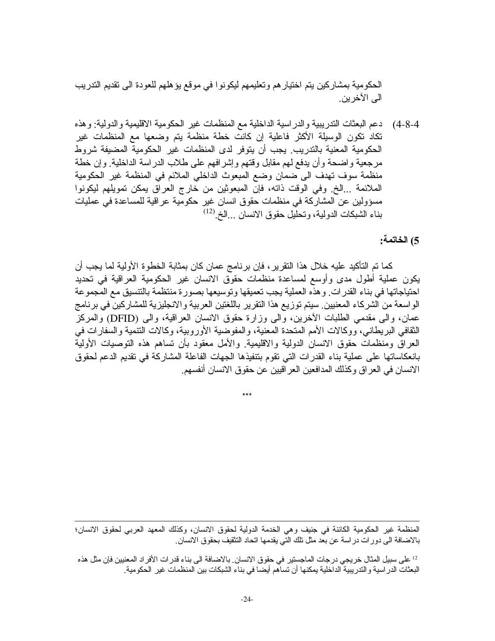الحكومية بمشاركين يتم اختيار هم وتعليمهم ليكونوا في موقع يؤهلهم للعودة الى تقديم التدريب الى الآخرين.

4-4-4) دعم البعثات التدريبية والدراسية الداخلية مع المنظمات غير الحكومية الاقليمية والدولية: وهذه نكاد نكون الوسيلة الأكثر فاعلية إن كانت خطة منظمة يتم وضعها مع المنظمات غير الحكومية المعنية بالتدريب يجب أن يتوفر لدى المنظمات غير الحكومية المضيفة شروط مرجعية واضحة وأن يدفع لهم مقابل وقتهم وإشرافهم على طلاب الدراسة الداخلية. وإن خطة منظمة سوف تهدف الى ضمان وضع المبعوث الداخلي الملائم في المنظمة غير الحكومية الملائمة ...الخ وفي الوقت ذاته، فإن المبعوثين من خارج العراق يمكن تمويلهم ليكونوا مسؤولين عن المشاركة في منظمات حقوق انسان غير حكومية عراقية للمساعدة في عمليات بناء الشبكات الدولية، وتحليل حقوق الانسان ...الخ.<sup>(12)</sup>

5) الخاتمة:

كما نم النَّاكيد عليه خلال هذا النَّقرير ، فإن برنامج عمان كان بمثابة الخطوة الأولية لما يجب أن يكون عملية أطول مدى وأوسع لمساعدة منظمات حقوق الانسان غير الحكومية العراقية في تحديد احتياجاتها في بناء القدرات وهذه العملية يجب تعميقها وتوسيعها بصورة منتظمة بالتتسيق مع المجموعة الواسعة من الشركاء المعنيين سيتم توزيع هذا التقرير باللغتين العربية والانجليزية للمشاركين في برنامج عمان، والـي مقدمـي الطلبات الأخرين، والـي وزارة حقوق الانسان الـعراقية، والـي (DFID) والمركز الثقافي البريطاني، ووكالات الأمم المتحدة المعنية، والمفوضية الأوروبية، وكالات النتمية والسفارات في العراق ومنظمات حقوق الانسان الدولية والاقليمية والأمل معقود بأن نساهم هذه النوصيات الأولية بانعكاساتها على عملية بناء القدرات التي تقوم بتنفيذها الجهات الفاعلة المشاركة في تقديم الدعم لحقوق الانسان في العراق وكذلك المدافعين العر اقيين عن حقوق الانسان أنفسهم.

المنظمة غير الحكومية الكائنة في جنيف وهي الخدمة الدولية لحقوق الانسان، وكذلك المعهد العربي لحقوق الانسان؛ بالاضـافة الى دور ات در اسة عن بعد مثل تلك التي يقدمها اتحاد التثقيف بحقوق الانسان ِ

12 على سبيل المثال خريجي درجات الماجستير في حقوق الانسان. بالاضافة الى بناء قدرات الأفر اد المعنيين فإن مثل هذه البعثات الدر اسية والتدريبية الداخلية يمكنها أن تساهم أيضـا في بنـاء الشبكات بين المنظمات غير الـحكومية ـ